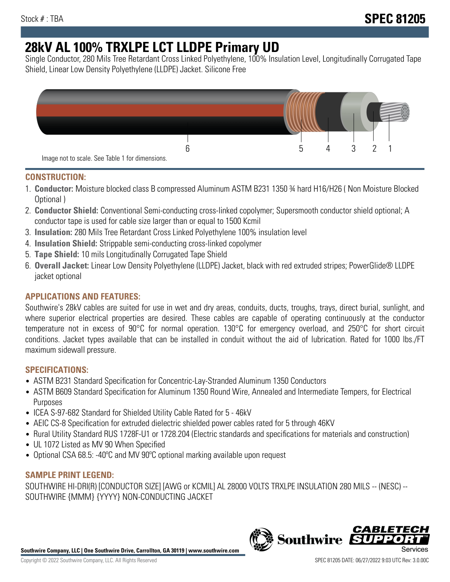# **28kV AL 100% TRXLPE LCT LLDPE Primary UD**

Single Conductor, 280 Mils Tree Retardant Cross Linked Polyethylene, 100% Insulation Level, Longitudinally Corrugated Tape Shield, Linear Low Density Polyethylene (LLDPE) Jacket. Silicone Free



## **CONSTRUCTION:**

- 1. **Conductor:** Moisture blocked class B compressed Aluminum ASTM B231 1350 ¾ hard H16/H26 ( Non Moisture Blocked Optional )
- 2. **Conductor Shield:** Conventional Semi-conducting cross-linked copolymer; Supersmooth conductor shield optional; A conductor tape is used for cable size larger than or equal to 1500 Kcmil
- 3. **Insulation:** 280 Mils Tree Retardant Cross Linked Polyethylene 100% insulation level
- 4. **Insulation Shield:** Strippable semi-conducting cross-linked copolymer
- 5. **Tape Shield:** 10 mils Longitudinally Corrugated Tape Shield
- 6. **Overall Jacket:** Linear Low Density Polyethylene (LLDPE) Jacket, black with red extruded stripes; PowerGlide® LLDPE jacket optional

# **APPLICATIONS AND FEATURES:**

Southwire's 28kV cables are suited for use in wet and dry areas, conduits, ducts, troughs, trays, direct burial, sunlight, and where superior electrical properties are desired. These cables are capable of operating continuously at the conductor temperature not in excess of 90°C for normal operation. 130°C for emergency overload, and 250°C for short circuit conditions. Jacket types available that can be installed in conduit without the aid of lubrication. Rated for 1000 lbs./FT maximum sidewall pressure.

# **SPECIFICATIONS:**

- ASTM B231 Standard Specification for Concentric-Lay-Stranded Aluminum 1350 Conductors
- ASTM B609 Standard Specification for Aluminum 1350 Round Wire, Annealed and Intermediate Tempers, for Electrical Purposes
- ICEA S-97-682 Standard for Shielded Utility Cable Rated for 5 46kV
- AEIC CS-8 Specification for extruded dielectric shielded power cables rated for 5 through 46KV
- Rural Utility Standard RUS 1728F-U1 or 1728.204 (Electric standards and specifications for materials and construction)
- UL 1072 Listed as MV 90 When Specified
- Optional CSA 68.5: -40ºC and MV 90ºC optional marking available upon request

## **SAMPLE PRINT LEGEND:**

SOUTHWIRE HI-DRI(R) [CONDUCTOR SIZE] [AWG or KCMIL] AL 28000 VOLTS TRXLPE INSULATION 280 MILS -- (NESC) -- SOUTHWIRE {MMM} {YYYY} NON-CONDUCTING JACKET

**Southwire Company, LLC | One Southwire Drive, Carrollton, GA 30119 | www.southwire.com**